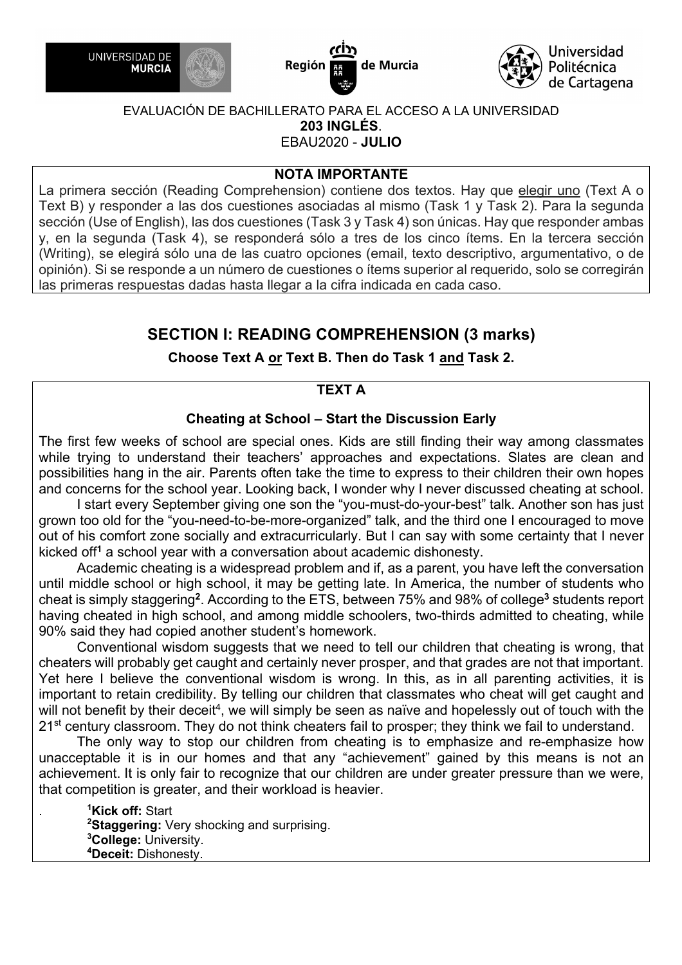





## **NOTA IMPORTANTE**

La primera sección (Reading Comprehension) contiene dos textos. Hay que elegir uno (Text A o Text B) y responder a las dos cuestiones asociadas al mismo (Task 1 y Task 2). Para la segunda sección (Use of English), las dos cuestiones (Task 3 y Task 4) son únicas. Hay que responder ambas y, en la segunda (Task 4), se responderá sólo a tres de los cinco ítems. En la tercera sección (Writing), se elegirá sólo una de las cuatro opciones (email, texto descriptivo, argumentativo, o de opinión). Si se responde a un número de cuestiones o ítems superior al requerido, solo se corregirán las primeras respuestas dadas hasta llegar a la cifra indicada en cada caso.

## **SECTION I: READING COMPREHENSION (3 marks)**

**Choose Text A or Text B. Then do Task 1 and Task 2.**

## **TEXT A**

## **Cheating at School – Start the Discussion Early**

The first few weeks of school are special ones. Kids are still finding their way among classmates while trying to understand their teachers' approaches and expectations. Slates are clean and possibilities hang in the air. Parents often take the time to express to their children their own hopes and concerns for the school year. Looking back, I wonder why I never discussed cheating at school.

 I start every September giving one son the "you-must-do-your-best" talk. Another son has just grown too old for the "you-need-to-be-more-organized" talk, and the third one I encouraged to move out of his comfort zone socially and extracurricularly. But I can say with some certainty that I never kicked off**<sup>1</sup>** a school year with a conversation about academic dishonesty.

 Academic cheating is a widespread problem and if, as a parent, you have left the conversation until middle school or high school, it may be getting late. In America, the number of students who cheat is simply staggering**<sup>2</sup>**. According to the ETS, between 75% and 98% of college**<sup>3</sup>** students report having cheated in high school, and among middle schoolers, two-thirds admitted to cheating, while 90% said they had copied another student's homework.

 Conventional wisdom suggests that we need to tell our children that cheating is wrong, that cheaters will probably get caught and certainly never prosper, and that grades are not that important. Yet here I believe the conventional wisdom is wrong. In this, as in all parenting activities, it is important to retain credibility. By telling our children that classmates who cheat will get caught and will not benefit by their deceit<sup>4</sup>, we will simply be seen as naïve and hopelessly out of touch with the 21<sup>st</sup> century classroom. They do not think cheaters fail to prosper; they think we fail to understand.

 The only way to stop our children from cheating is to emphasize and re-emphasize how unacceptable it is in our homes and that any "achievement" gained by this means is not an achievement. It is only fair to recognize that our children are under greater pressure than we were, that competition is greater, and their workload is heavier.

. **<sup>1</sup> Kick off:** Start **2 Staggering:** Very shocking and surprising. **3 College:** University. **4 Deceit:** Dishonesty.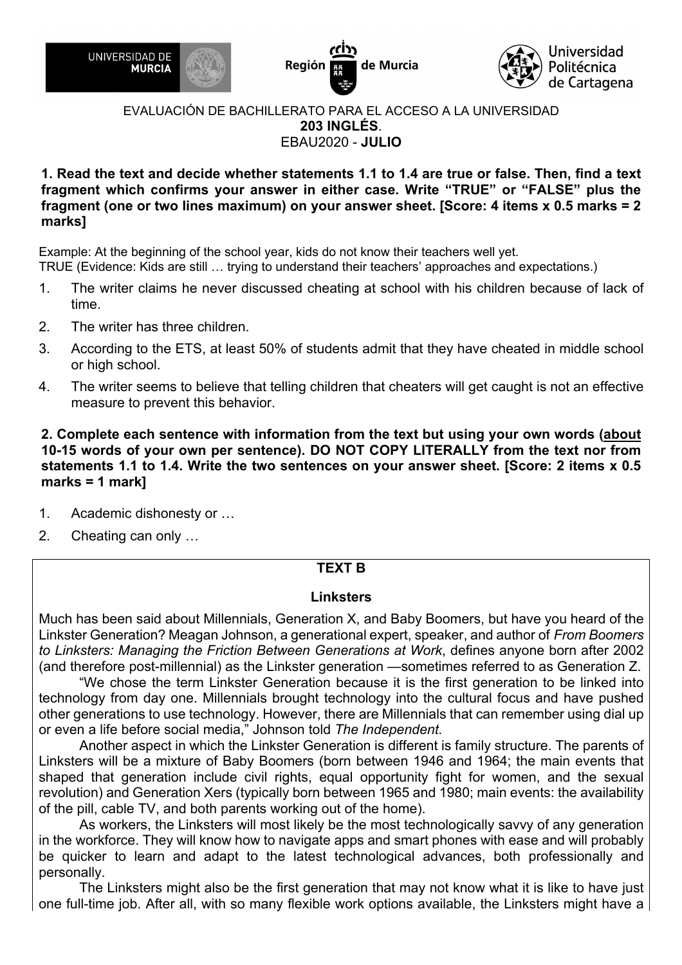





## **1. Read the text and decide whether statements 1.1 to 1.4 are true or false. Then, find a text fragment which confirms your answer in either case. Write "TRUE" or "FALSE" plus the fragment (one or two lines maximum) on your answer sheet. [Score: 4 items x 0.5 marks = 2 marks]**

Example: At the beginning of the school year, kids do not know their teachers well yet. TRUE (Evidence: Kids are still … trying to understand their teachers' approaches and expectations.)

- 1. The writer claims he never discussed cheating at school with his children because of lack of time.
- 2. The writer has three children.
- 3. According to the ETS, at least 50% of students admit that they have cheated in middle school or high school.
- 4. The writer seems to believe that telling children that cheaters will get caught is not an effective measure to prevent this behavior.

**2. Complete each sentence with information from the text but using your own words (about 10-15 words of your own per sentence). DO NOT COPY LITERALLY from the text nor from statements 1.1 to 1.4. Write the two sentences on your answer sheet. [Score: 2 items x 0.5 marks = 1 mark]**

- 1. Academic dishonesty or …
- 2. Cheating can only …

## **TEXT B**

#### **Linksters**

Much has been said about Millennials, Generation X, and Baby Boomers, but have you heard of the Linkster Generation? Meagan Johnson, a generational expert, speaker, and author of *From Boomers to Linksters: Managing the Friction Between Generations at Work*, defines anyone born after 2002 (and therefore post-millennial) as the Linkster generation —sometimes referred to as Generation Z.

"We chose the term Linkster Generation because it is the first generation to be linked into technology from day one. Millennials brought technology into the cultural focus and have pushed other generations to use technology. However, there are Millennials that can remember using dial up or even a life before social media," Johnson told *The Independent.*

Another aspect in which the Linkster Generation is different is family structure. The parents of Linksters will be a mixture of Baby Boomers (born between 1946 and 1964; the main events that shaped that generation include civil rights, equal opportunity fight for women, and the sexual revolution) and Generation Xers (typically born between 1965 and 1980; main events: the availability of the pill, cable TV, and both parents working out of the home).

As workers, the Linksters will most likely be the most technologically savvy of any generation in the workforce. They will know how to navigate apps and smart phones with ease and will probably be quicker to learn and adapt to the latest technological advances, both professionally and personally.

The Linksters might also be the first generation that may not know what it is like to have just one full-time job. After all, with so many flexible work options available, the Linksters might have a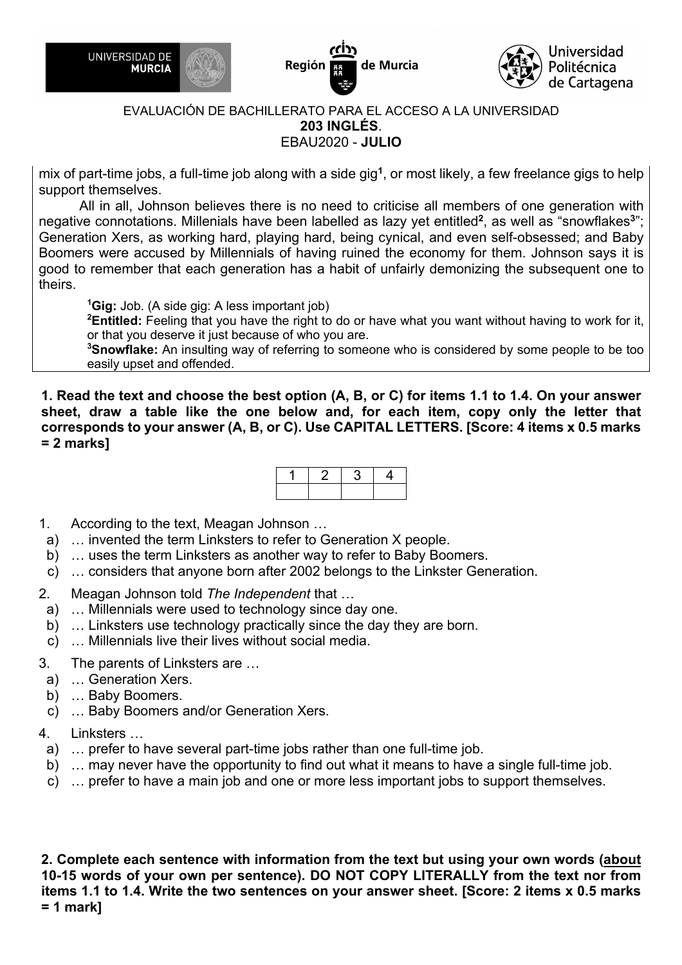





mix of part-time jobs, a full-time job along with a side gig**<sup>1</sup>**, or most likely, a few freelance gigs to help support themselves.

All in all, Johnson believes there is no need to criticise all members of one generation with negative connotations. Millenials have been labelled as lazy yet entitled**<sup>2</sup>**, as well as "snowflakes**<sup>3</sup>**"; Generation Xers, as working hard, playing hard, being cynical, and even self-obsessed; and Baby Boomers were accused by Millennials of having ruined the economy for them. Johnson says it is good to remember that each generation has a habit of unfairly demonizing the subsequent one to theirs.

**1 Gig:** Job. (A side gig: A less important job)

**2 Entitled:** Feeling that you have the right to do or have what you want without having to work for it, or that you deserve it just because of who you are.

**3 Snowflake:** An insulting way of referring to someone who is considered by some people to be too easily upset and offended.

**1. Read the text and choose the best option (A, B, or C) for items 1.1 to 1.4. On your answer sheet, draw a table like the one below and, for each item, copy only the letter that corresponds to your answer (A, B, or C). Use CAPITAL LETTERS. [Score: 4 items x 0.5 marks = 2 marks]**

- 1. According to the text, Meagan Johnson …
- a) … invented the term Linksters to refer to Generation X people.
- b) … uses the term Linksters as another way to refer to Baby Boomers.
- c) … considers that anyone born after 2002 belongs to the Linkster Generation.
- 2. Meagan Johnson told *The Independent* that …
- a) … Millennials were used to technology since day one.
- b) … Linksters use technology practically since the day they are born.
- c) … Millennials live their lives without social media.
- 3. The parents of Linksters are …
- a) … Generation Xers.
- b) … Baby Boomers.
- c) … Baby Boomers and/or Generation Xers.
- 4. Linksters …
- a) … prefer to have several part-time jobs rather than one full-time job.
- b) … may never have the opportunity to find out what it means to have a single full-time job.
- c) … prefer to have a main job and one or more less important jobs to support themselves.

**2. Complete each sentence with information from the text but using your own words (about 10-15 words of your own per sentence). DO NOT COPY LITERALLY from the text nor from items 1.1 to 1.4. Write the two sentences on your answer sheet. [Score: 2 items x 0.5 marks = 1 mark]**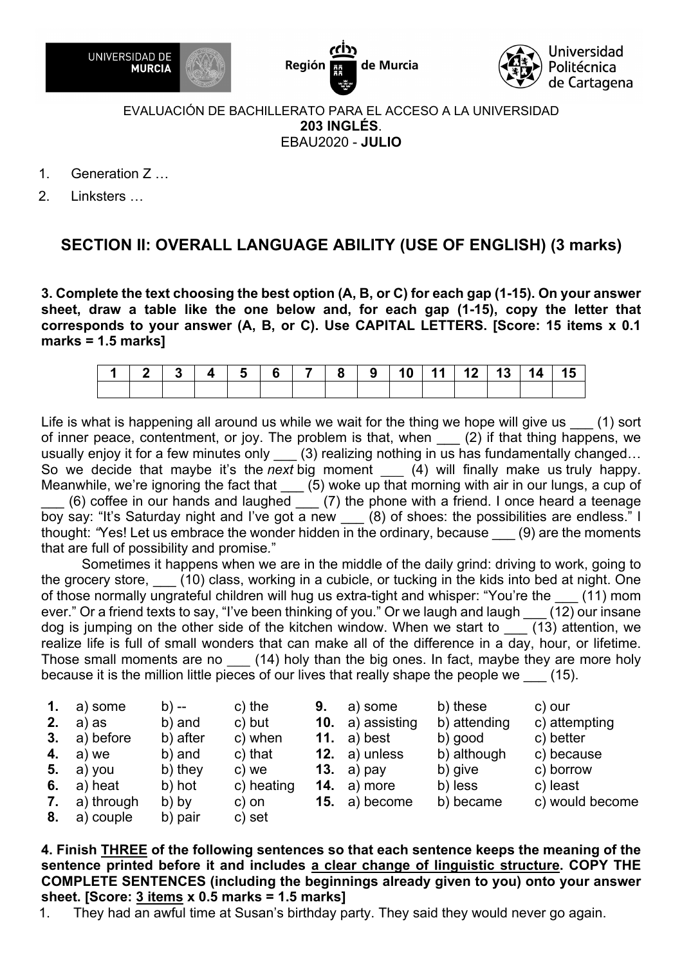





- 1. Generation Z …
- 2. Linksters …

## **SECTION II: OVERALL LANGUAGE ABILITY (USE OF ENGLISH) (3 marks)**

**3. Complete the text choosing the best option (A, B, or C) for each gap (1-15). On your answer sheet, draw a table like the one below and, for each gap (1-15), copy the letter that corresponds to your answer (A, B, or C). Use CAPITAL LETTERS. [Score: 15 items x 0.1 marks = 1.5 marks]**

|  |  |  |  |  |  | 2   3   4   5   6   7   8   9   10   11   12   13   14   15 |  |
|--|--|--|--|--|--|-------------------------------------------------------------|--|
|  |  |  |  |  |  |                                                             |  |

Life is what is happening all around us while we wait for the thing we hope will give us (1) sort of inner peace, contentment, or joy. The problem is that, when (2) if that thing happens, we usually enjoy it for a few minutes only (3) realizing nothing in us has fundamentally changed... So we decide that maybe it's the *next* big moment \_\_\_ (4) will finally make us truly happy. Meanwhile, we're ignoring the fact that  $\qquad$  (5) woke up that morning with air in our lungs, a cup of

 $(6)$  coffee in our hands and laughed  $(7)$  the phone with a friend. I once heard a teenage boy say: "It's Saturday night and I've got a new (8) of shoes: the possibilities are endless." I thought: *"*Yes! Let us embrace the wonder hidden in the ordinary, because \_\_\_ (9) are the moments that are full of possibility and promise*.*"

Sometimes it happens when we are in the middle of the daily grind: driving to work, going to the grocery store, (10) class, working in a cubicle, or tucking in the kids into bed at night. One of those normally ungrateful children will hug us extra-tight and whisper: "You're the (11) mom ever." Or a friend texts to say, "I've been thinking of you." Or we laugh and laugh  $(12)$  our insane dog is jumping on the other side of the kitchen window. When we start to (13) attention, we realize life is full of small wonders that can make all of the difference in a day, hour, or lifetime. Those small moments are no (14) holy than the big ones. In fact, maybe they are more holy because it is the million little pieces of our lives that really shape the people we (15).

| $\mathbf{1}$ . | a) some    | b) --    | c) the     | 9. | a) some          | b) these     | c) our          |
|----------------|------------|----------|------------|----|------------------|--------------|-----------------|
| 2.             | a) as      | b) and   | c) but     |    | 10. a) assisting | b) attending | c) attempting   |
| 3.             | a) before  | b) after | c) when    |    | 11. a) best      | b) good      | c) better       |
| 4.             | a) we      | b) and   | c) that    |    | 12. $a)$ unless  | b) although  | c) because      |
| 5.             | a) you     | b) they  | c) we      |    | 13. a) $pay$     | b) give      | c) borrow       |
| 6.             | a) heat    | b) hot   | c) heating |    | 14. $a)$ more    | b) less      | c) least        |
| 7.             | a) through | b) by    | c) on      |    | 15. a) become    | b) became    | c) would become |
| 8.             | a) couple  | b) pair  | c) set     |    |                  |              |                 |

**4. Finish THREE of the following sentences so that each sentence keeps the meaning of the sentence printed before it and includes a clear change of linguistic structure. COPY THE COMPLETE SENTENCES (including the beginnings already given to you) onto your answer sheet. [Score: 3 items x 0.5 marks = 1.5 marks]**

1. They had an awful time at Susan's birthday party. They said they would never go again.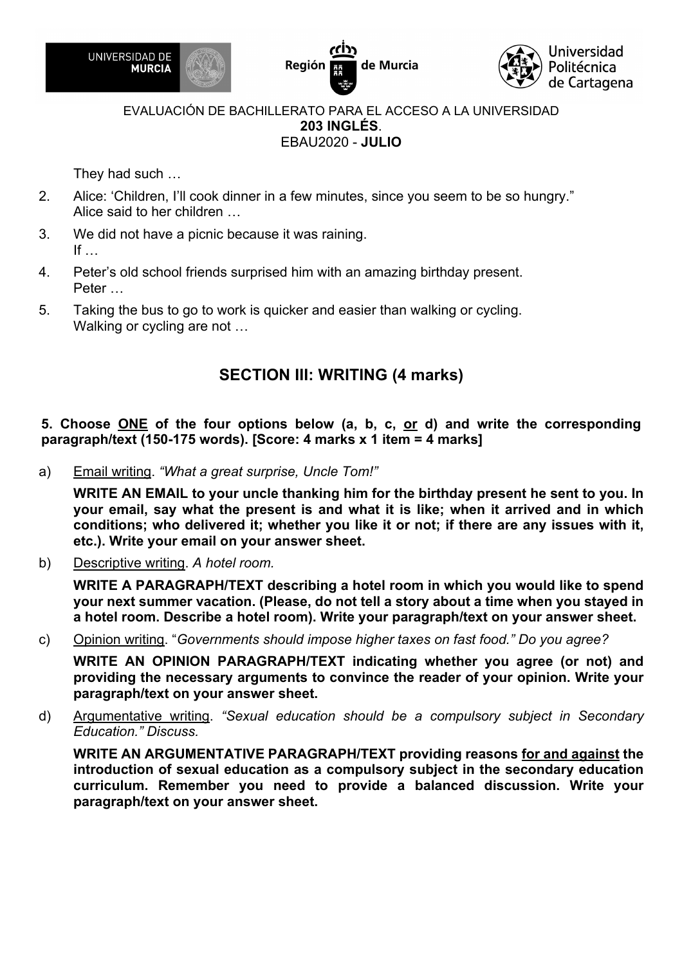





They had such …

- 2. Alice: 'Children, I'll cook dinner in a few minutes, since you seem to be so hungry." Alice said to her children …
- 3. We did not have a picnic because it was raining. If  $\ldots$
- 4. Peter's old school friends surprised him with an amazing birthday present. Peter …
- 5. Taking the bus to go to work is quicker and easier than walking or cycling. Walking or cycling are not …

## **SECTION III: WRITING (4 marks)**

**5. Choose ONE of the four options below (a, b, c, or d) and write the corresponding paragraph/text (150-175 words). [Score: 4 marks x 1 item = 4 marks]**

a) Email writing. *"What a great surprise, Uncle Tom!"*

**WRITE AN EMAIL to your uncle thanking him for the birthday present he sent to you. In your email, say what the present is and what it is like; when it arrived and in which conditions; who delivered it; whether you like it or not; if there are any issues with it, etc.). Write your email on your answer sheet.** 

b) Descriptive writing. *A hotel room.*

**WRITE A PARAGRAPH/TEXT describing a hotel room in which you would like to spend your next summer vacation. (Please, do not tell a story about a time when you stayed in a hotel room. Describe a hotel room). Write your paragraph/text on your answer sheet.**

c) Opinion writing. "*Governments should impose higher taxes on fast food." Do you agree?*

**WRITE AN OPINION PARAGRAPH/TEXT indicating whether you agree (or not) and providing the necessary arguments to convince the reader of your opinion. Write your paragraph/text on your answer sheet.**

d) Argumentative writing. *"Sexual education should be a compulsory subject in Secondary Education." Discuss.*

**WRITE AN ARGUMENTATIVE PARAGRAPH/TEXT providing reasons for and against the introduction of sexual education as a compulsory subject in the secondary education curriculum. Remember you need to provide a balanced discussion. Write your paragraph/text on your answer sheet.**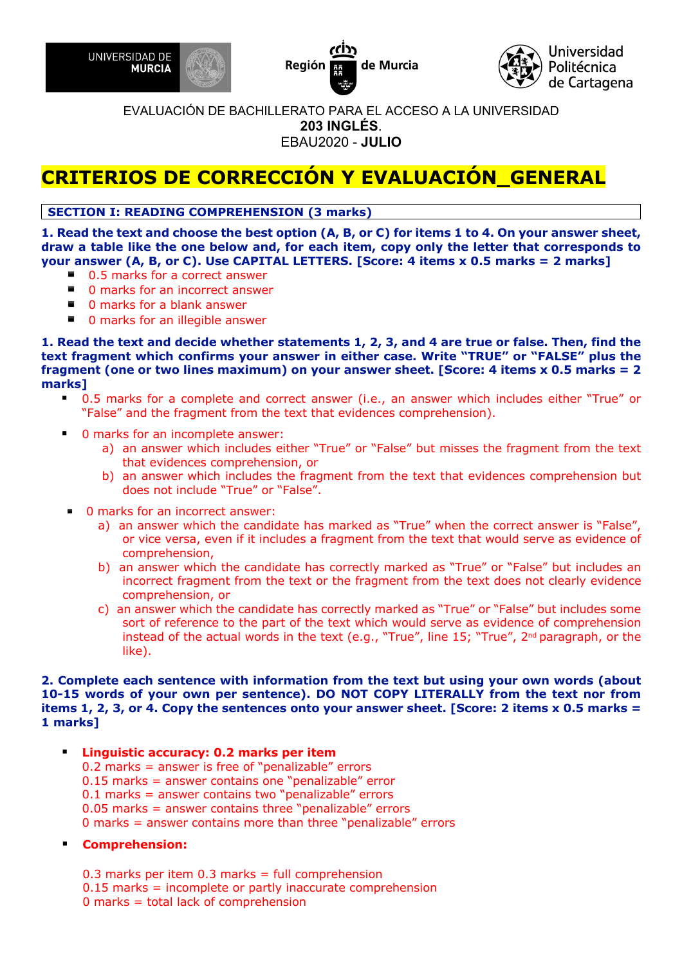





# **CRITERIOS DE CORRECCIÓN Y EVALUACIÓN\_GENERAL**

## **SECTION I: READING COMPREHENSION (3 marks)**

**1. Read the text and choose the best option (A, B, or C) for items 1 to 4. On your answer sheet, draw a table like the one below and, for each item, copy only the letter that corresponds to your answer (A, B, or C). Use CAPITAL LETTERS. [Score: 4 items x 0.5 marks = 2 marks]** 

- 0.5 marks for a correct answer
- 0 marks for an incorrect answer
- 0 marks for a blank answer
- 0 marks for an illegible answer

**1. Read the text and decide whether statements 1, 2, 3, and 4 are true or false. Then, find the text fragment which confirms your answer in either case. Write "TRUE" or "FALSE" plus the fragment (one or two lines maximum) on your answer sheet. [Score: 4 items x 0.5 marks = 2 marks]** 

- § 0.5 marks for a complete and correct answer (i.e., an answer which includes either "True" or "False" and the fragment from the text that evidences comprehension).
- § 0 marks for an incomplete answer:
	- a) an answer which includes either "True" or "False" but misses the fragment from the text that evidences comprehension, or
	- b) an answer which includes the fragment from the text that evidences comprehension but does not include "True" or "False".
- 0 marks for an incorrect answer:
	- a) an answer which the candidate has marked as "True" when the correct answer is "False", or vice versa, even if it includes a fragment from the text that would serve as evidence of comprehension,
	- b) an answer which the candidate has correctly marked as "True" or "False" but includes an incorrect fragment from the text or the fragment from the text does not clearly evidence comprehension, or
	- c) an answer which the candidate has correctly marked as "True" or "False" but includes some sort of reference to the part of the text which would serve as evidence of comprehension instead of the actual words in the text (e.g., "True", line 15; "True", 2<sup>nd</sup> paragraph, or the like).

#### **2. Complete each sentence with information from the text but using your own words (about 10-15 words of your own per sentence). DO NOT COPY LITERALLY from the text nor from items 1, 2, 3, or 4. Copy the sentences onto your answer sheet. [Score: 2 items x 0.5 marks = 1 marks]**

- § **Linguistic accuracy: 0.2 marks per item**
	- 0.2 marks = answer is free of "penalizable" errors
	- 0.15 marks = answer contains one "penalizable" error
	- 0.1 marks = answer contains two "penalizable" errors
	- 0.05 marks = answer contains three "penalizable" errors
	- 0 marks = answer contains more than three "penalizable" errors

#### § **Comprehension:**

- 0.3 marks per item  $0.3$  marks = full comprehension
- 0.15 marks = incomplete or partly inaccurate comprehension
- 0 marks = total lack of comprehension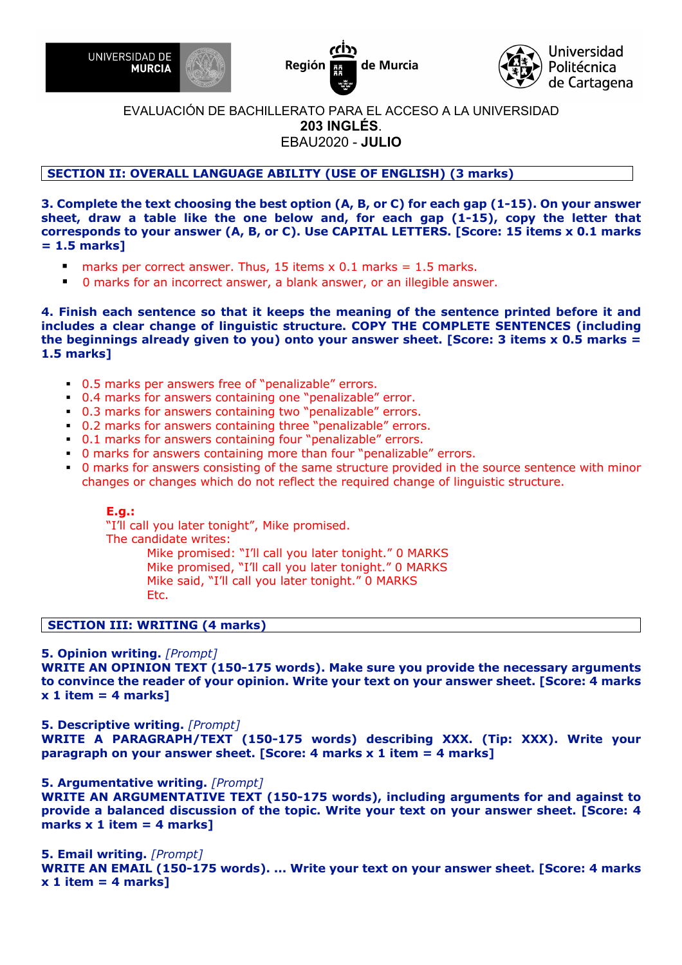





#### **SECTION II: OVERALL LANGUAGE ABILITY (USE OF ENGLISH) (3 marks)**

**3. Complete the text choosing the best option (A, B, or C) for each gap (1-15). On your answer sheet, draw a table like the one below and, for each gap (1-15), copy the letter that corresponds to your answer (A, B, or C). Use CAPITAL LETTERS. [Score: 15 items x 0.1 marks = 1.5 marks]** 

- **•** marks per correct answer. Thus, 15 items  $\times$  0.1 marks = 1.5 marks.
- 0 marks for an incorrect answer, a blank answer, or an illegible answer.

**4. Finish each sentence so that it keeps the meaning of the sentence printed before it and includes a clear change of linguistic structure. COPY THE COMPLETE SENTENCES (including the beginnings already given to you) onto your answer sheet. [Score: 3 items x 0.5 marks = 1.5 marks]** 

- § 0.5 marks per answers free of "penalizable" errors.
- § 0.4 marks for answers containing one "penalizable" error.
- § 0.3 marks for answers containing two "penalizable" errors.
- § 0.2 marks for answers containing three "penalizable" errors.
- § 0.1 marks for answers containing four "penalizable" errors.
- § 0 marks for answers containing more than four "penalizable" errors.
- § 0 marks for answers consisting of the same structure provided in the source sentence with minor changes or changes which do not reflect the required change of linguistic structure.

#### **E.g.:**

"I'll call you later tonight", Mike promised. The candidate writes: Mike promised: "I'll call you later tonight." 0 MARKS Mike promised, "I'll call you later tonight." 0 MARKS Mike said, "I'll call you later tonight." 0 MARKS

Etc.

#### **SECTION III: WRITING (4 marks)**

#### **5. Opinion writing.** *[Prompt]*

**WRITE AN OPINION TEXT (150-175 words). Make sure you provide the necessary arguments to convince the reader of your opinion. Write your text on your answer sheet. [Score: 4 marks x 1 item = 4 marks]** 

#### **5. Descriptive writing.** *[Prompt]*

**WRITE A PARAGRAPH/TEXT (150-175 words) describing XXX. (Tip: XXX). Write your paragraph on your answer sheet. [Score: 4 marks x 1 item = 4 marks]** 

#### **5. Argumentative writing.** *[Prompt]*

**WRITE AN ARGUMENTATIVE TEXT (150-175 words), including arguments for and against to provide a balanced discussion of the topic. Write your text on your answer sheet. [Score: 4 marks x 1 item = 4 marks]** 

**5. Email writing.** *[Prompt]*

**WRITE AN EMAIL (150-175 words). ... Write your text on your answer sheet. [Score: 4 marks x 1 item = 4 marks]**